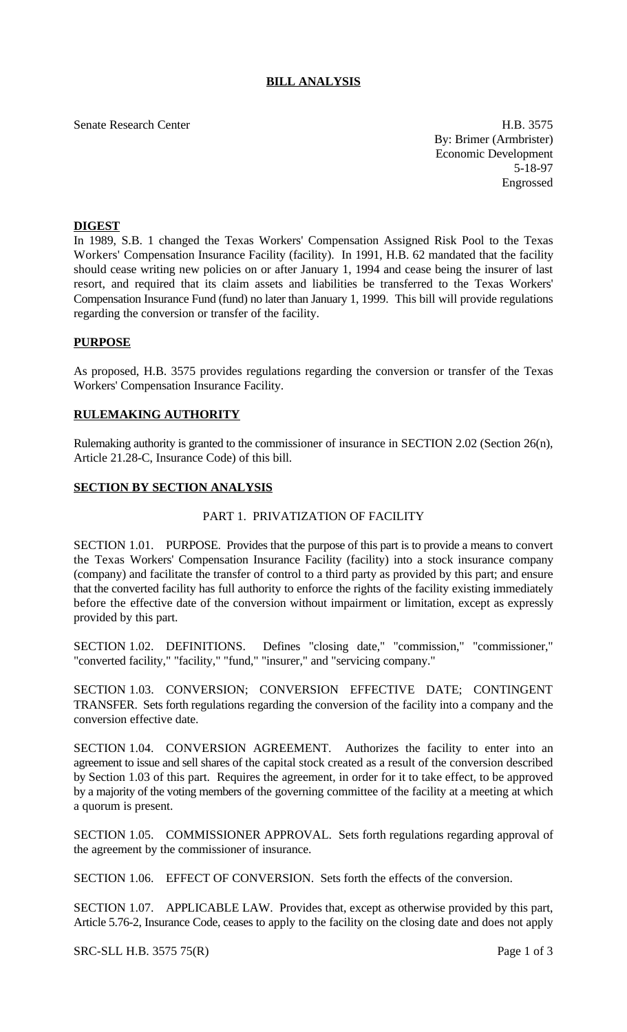# **BILL ANALYSIS**

Senate Research Center H.B. 3575 By: Brimer (Armbrister) Economic Development 5-18-97 Engrossed

### **DIGEST**

In 1989, S.B. 1 changed the Texas Workers' Compensation Assigned Risk Pool to the Texas Workers' Compensation Insurance Facility (facility). In 1991, H.B. 62 mandated that the facility should cease writing new policies on or after January 1, 1994 and cease being the insurer of last resort, and required that its claim assets and liabilities be transferred to the Texas Workers' Compensation Insurance Fund (fund) no later than January 1, 1999. This bill will provide regulations regarding the conversion or transfer of the facility.

### **PURPOSE**

As proposed, H.B. 3575 provides regulations regarding the conversion or transfer of the Texas Workers' Compensation Insurance Facility.

#### **RULEMAKING AUTHORITY**

Rulemaking authority is granted to the commissioner of insurance in SECTION 2.02 (Section 26(n), Article 21.28-C, Insurance Code) of this bill.

#### **SECTION BY SECTION ANALYSIS**

#### PART 1. PRIVATIZATION OF FACILITY

SECTION 1.01. PURPOSE. Provides that the purpose of this part is to provide a means to convert the Texas Workers' Compensation Insurance Facility (facility) into a stock insurance company (company) and facilitate the transfer of control to a third party as provided by this part; and ensure that the converted facility has full authority to enforce the rights of the facility existing immediately before the effective date of the conversion without impairment or limitation, except as expressly provided by this part.

SECTION 1.02. DEFINITIONS. Defines "closing date," "commission," "commissioner," "converted facility," "facility," "fund," "insurer," and "servicing company."

SECTION 1.03. CONVERSION; CONVERSION EFFECTIVE DATE; CONTINGENT TRANSFER. Sets forth regulations regarding the conversion of the facility into a company and the conversion effective date.

SECTION 1.04. CONVERSION AGREEMENT. Authorizes the facility to enter into an agreement to issue and sell shares of the capital stock created as a result of the conversion described by Section 1.03 of this part. Requires the agreement, in order for it to take effect, to be approved by a majority of the voting members of the governing committee of the facility at a meeting at which a quorum is present.

SECTION 1.05. COMMISSIONER APPROVAL. Sets forth regulations regarding approval of the agreement by the commissioner of insurance.

SECTION 1.06. EFFECT OF CONVERSION. Sets forth the effects of the conversion.

SECTION 1.07. APPLICABLE LAW. Provides that, except as otherwise provided by this part, Article 5.76-2, Insurance Code, ceases to apply to the facility on the closing date and does not apply

SRC-SLL H.B. 3575 75(R) Page 1 of 3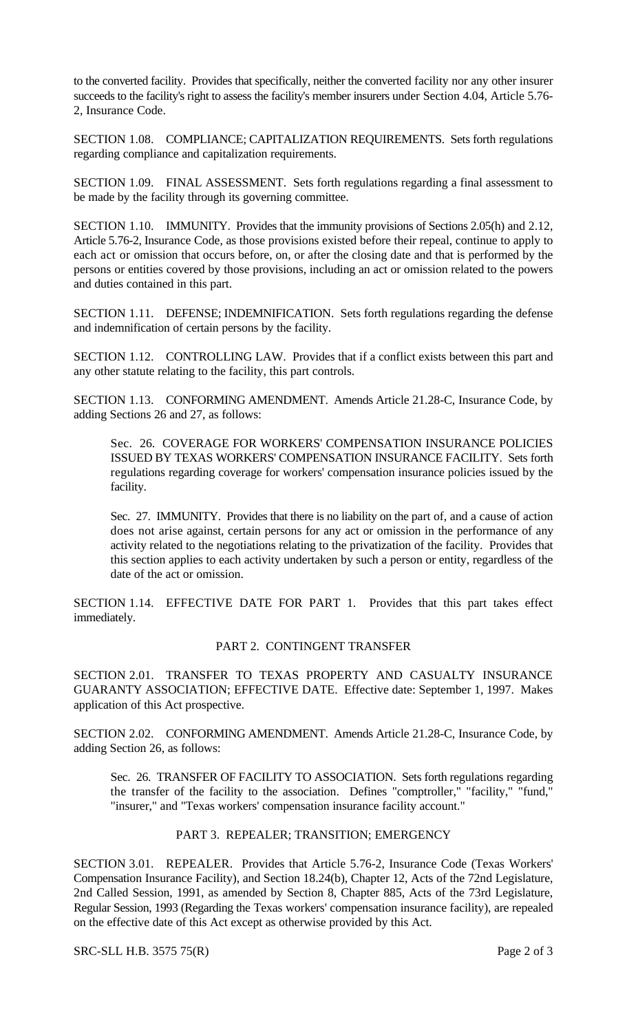to the converted facility. Provides that specifically, neither the converted facility nor any other insurer succeeds to the facility's right to assess the facility's member insurers under Section 4.04, Article 5.76- 2, Insurance Code.

SECTION 1.08. COMPLIANCE; CAPITALIZATION REQUIREMENTS. Sets forth regulations regarding compliance and capitalization requirements.

SECTION 1.09. FINAL ASSESSMENT. Sets forth regulations regarding a final assessment to be made by the facility through its governing committee.

SECTION 1.10. IMMUNITY. Provides that the immunity provisions of Sections 2.05(h) and 2.12, Article 5.76-2, Insurance Code, as those provisions existed before their repeal, continue to apply to each act or omission that occurs before, on, or after the closing date and that is performed by the persons or entities covered by those provisions, including an act or omission related to the powers and duties contained in this part.

SECTION 1.11. DEFENSE; INDEMNIFICATION. Sets forth regulations regarding the defense and indemnification of certain persons by the facility.

SECTION 1.12. CONTROLLING LAW. Provides that if a conflict exists between this part and any other statute relating to the facility, this part controls.

SECTION 1.13. CONFORMING AMENDMENT. Amends Article 21.28-C, Insurance Code, by adding Sections 26 and 27, as follows:

Sec. 26. COVERAGE FOR WORKERS' COMPENSATION INSURANCE POLICIES ISSUED BY TEXAS WORKERS' COMPENSATION INSURANCE FACILITY. Sets forth regulations regarding coverage for workers' compensation insurance policies issued by the facility.

Sec. 27. IMMUNITY. Provides that there is no liability on the part of, and a cause of action does not arise against, certain persons for any act or omission in the performance of any activity related to the negotiations relating to the privatization of the facility. Provides that this section applies to each activity undertaken by such a person or entity, regardless of the date of the act or omission.

SECTION 1.14. EFFECTIVE DATE FOR PART 1. Provides that this part takes effect immediately.

## PART 2. CONTINGENT TRANSFER

SECTION 2.01. TRANSFER TO TEXAS PROPERTY AND CASUALTY INSURANCE GUARANTY ASSOCIATION; EFFECTIVE DATE. Effective date: September 1, 1997. Makes application of this Act prospective.

SECTION 2.02. CONFORMING AMENDMENT. Amends Article 21.28-C, Insurance Code, by adding Section 26, as follows:

Sec. 26. TRANSFER OF FACILITY TO ASSOCIATION. Sets forth regulations regarding the transfer of the facility to the association. Defines "comptroller," "facility," "fund," "insurer," and "Texas workers' compensation insurance facility account."

## PART 3. REPEALER; TRANSITION; EMERGENCY

SECTION 3.01. REPEALER. Provides that Article 5.76-2, Insurance Code (Texas Workers' Compensation Insurance Facility), and Section 18.24(b), Chapter 12, Acts of the 72nd Legislature, 2nd Called Session, 1991, as amended by Section 8, Chapter 885, Acts of the 73rd Legislature, Regular Session, 1993 (Regarding the Texas workers' compensation insurance facility), are repealed on the effective date of this Act except as otherwise provided by this Act.